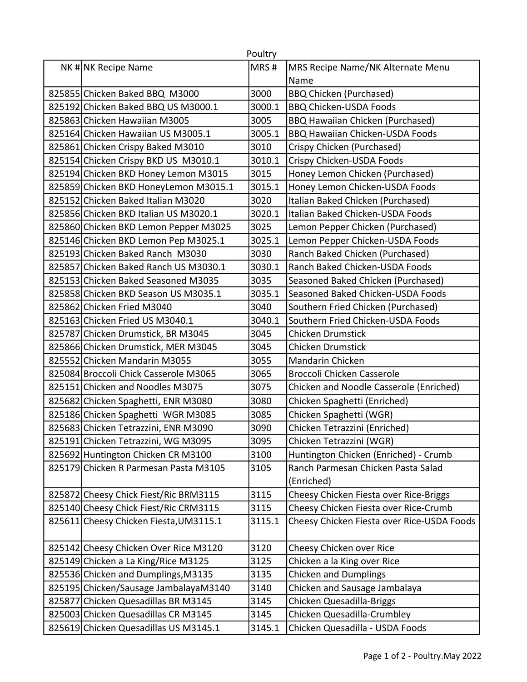|                                        | Poultry |                                            |
|----------------------------------------|---------|--------------------------------------------|
| NK # NK Recipe Name                    | MRS#    | MRS Recipe Name/NK Alternate Menu          |
|                                        |         | Name                                       |
| 825855 Chicken Baked BBQ M3000         | 3000    | <b>BBQ Chicken (Purchased)</b>             |
| 825192 Chicken Baked BBQ US M3000.1    | 3000.1  | <b>BBQ Chicken-USDA Foods</b>              |
| 825863 Chicken Hawaiian M3005          | 3005    | <b>BBQ Hawaiian Chicken (Purchased)</b>    |
| 825164 Chicken Hawaiian US M3005.1     | 3005.1  | <b>BBQ Hawaiian Chicken-USDA Foods</b>     |
| 825861 Chicken Crispy Baked M3010      | 3010    | Crispy Chicken (Purchased)                 |
| 825154 Chicken Crispy BKD US M3010.1   | 3010.1  | Crispy Chicken-USDA Foods                  |
| 825194 Chicken BKD Honey Lemon M3015   | 3015    | Honey Lemon Chicken (Purchased)            |
| 825859 Chicken BKD HoneyLemon M3015.1  | 3015.1  | Honey Lemon Chicken-USDA Foods             |
| 825152 Chicken Baked Italian M3020     | 3020    | Italian Baked Chicken (Purchased)          |
| 825856 Chicken BKD Italian US M3020.1  | 3020.1  | Italian Baked Chicken-USDA Foods           |
| 825860 Chicken BKD Lemon Pepper M3025  | 3025    | Lemon Pepper Chicken (Purchased)           |
| 825146 Chicken BKD Lemon Pep M3025.1   | 3025.1  | Lemon Pepper Chicken-USDA Foods            |
| 825193 Chicken Baked Ranch M3030       | 3030    | Ranch Baked Chicken (Purchased)            |
| 825857 Chicken Baked Ranch US M3030.1  | 3030.1  | Ranch Baked Chicken-USDA Foods             |
| 825153 Chicken Baked Seasoned M3035    | 3035    | Seasoned Baked Chicken (Purchased)         |
| 825858 Chicken BKD Season US M3035.1   | 3035.1  | Seasoned Baked Chicken-USDA Foods          |
| 825862 Chicken Fried M3040             | 3040    | Southern Fried Chicken (Purchased)         |
| 825163 Chicken Fried US M3040.1        | 3040.1  | Southern Fried Chicken-USDA Foods          |
| 825787 Chicken Drumstick, BR M3045     | 3045    | <b>Chicken Drumstick</b>                   |
| 825866 Chicken Drumstick, MER M3045    | 3045    | <b>Chicken Drumstick</b>                   |
| 825552 Chicken Mandarin M3055          | 3055    | Mandarin Chicken                           |
| 825084 Broccoli Chick Casserole M3065  | 3065    | Broccoli Chicken Casserole                 |
| 825151 Chicken and Noodles M3075       | 3075    | Chicken and Noodle Casserole (Enriched)    |
| 825682 Chicken Spaghetti, ENR M3080    | 3080    | Chicken Spaghetti (Enriched)               |
| 825186 Chicken Spaghetti WGR M3085     | 3085    | Chicken Spaghetti (WGR)                    |
| 825683 Chicken Tetrazzini, ENR M3090   | 3090    | Chicken Tetrazzini (Enriched)              |
| 825191 Chicken Tetrazzini, WG M3095    | 3095    | Chicken Tetrazzini (WGR)                   |
| 825692 Huntington Chicken CR M3100     | 3100    | Huntington Chicken (Enriched) - Crumb      |
| 825179 Chicken R Parmesan Pasta M3105  | 3105    | Ranch Parmesan Chicken Pasta Salad         |
|                                        |         | (Enriched)                                 |
| 825872 Cheesy Chick Fiest/Ric BRM3115  | 3115    | Cheesy Chicken Fiesta over Rice-Briggs     |
| 825140 Cheesy Chick Fiest/Ric CRM3115  | 3115    | Cheesy Chicken Fiesta over Rice-Crumb      |
| 825611 Cheesy Chicken Fiesta, UM3115.1 | 3115.1  | Cheesy Chicken Fiesta over Rice-USDA Foods |
|                                        |         |                                            |
| 825142 Cheesy Chicken Over Rice M3120  | 3120    | Cheesy Chicken over Rice                   |
| 825149 Chicken a La King/Rice M3125    | 3125    | Chicken a la King over Rice                |
| 825536 Chicken and Dumplings, M3135    | 3135    | <b>Chicken and Dumplings</b>               |
| 825195 Chicken/Sausage JambalayaM3140  | 3140    | Chicken and Sausage Jambalaya              |
| 825877 Chicken Quesadillas BR M3145    | 3145    | Chicken Quesadilla-Briggs                  |
| 825003 Chicken Quesadillas CR M3145    | 3145    | Chicken Quesadilla-Crumbley                |
| 825619 Chicken Quesadillas US M3145.1  | 3145.1  | Chicken Quesadilla - USDA Foods            |